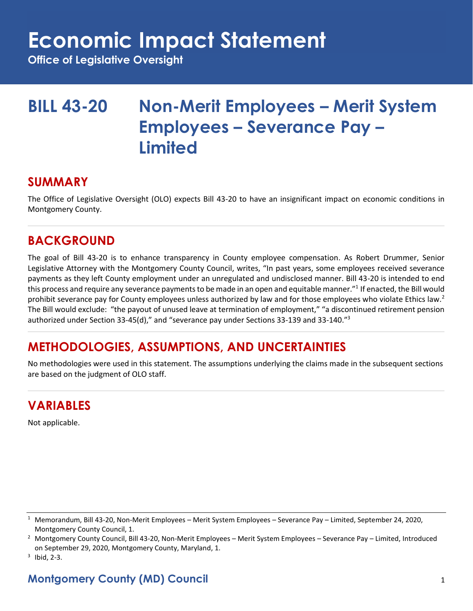## **Economic Impact Statement**

**Office of Legislative Oversight**

## **BILL 43-20 Non-Merit Employees – Merit System Employees – Severance Pay – Limited**

### **SUMMARY**

The Office of Legislative Oversight (OLO) expects Bill 43-20 to have an insignificant impact on economic conditions in Montgomery County.

## **BACKGROUND**

The goal of Bill 43-20 is to enhance transparency in County employee compensation. As Robert Drummer, Senior Legislative Attorney with the Montgomery County Council, writes, "In past years, some employees received severance payments as they left County employment under an unregulated and undisclosed manner. Bill 43-20 is intended to end this process and require any severance payments to be made in an open and equitable manner."<sup>1</sup> If enacted, the Bill would prohibit severance pay for County employees unless authorized by law and for those employees who violate Ethics law.<sup>2</sup> The Bill would exclude: "the payout of unused leave at termination of employment," "a discontinued retirement pension authorized under Section 33-45(d)," and "severance pay under Sections 33-139 and 33-140."<sup>3</sup>

## **METHODOLOGIES, ASSUMPTIONS, AND UNCERTAINTIES**

No methodologies were used in this statement. The assumptions underlying the claims made in the subsequent sections are based on the judgment of OLO staff.

## **VARIABLES**

Not applicable.

## **Montgomery County (MD) Council** 1

<sup>1</sup> Memorandum, Bill 43-20, Non-Merit Employees – Merit System Employees – Severance Pay – Limited, September 24, 2020, Montgomery County Council, 1.

 $2$  Montgomery County Council, Bill 43-20, Non-Merit Employees – Merit System Employees – Severance Pay – Limited, Introduced on September 29, 2020, Montgomery County, Maryland, 1.

 $3$  Ibid, 2-3.